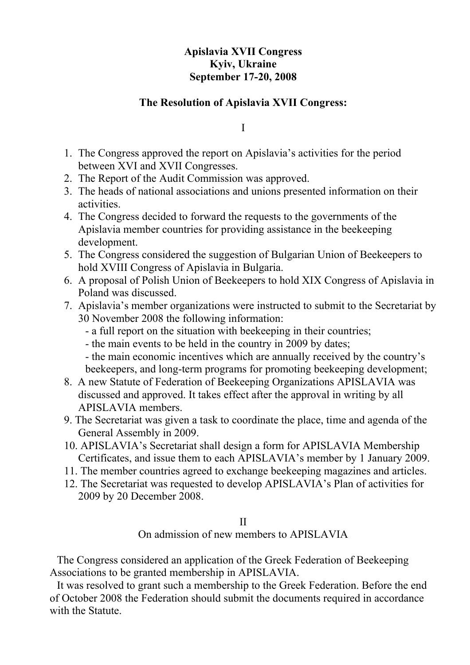## **Apislavia XVII Congress Kyiv, Ukraine September 17-20, 2008**

### **The Resolution of Apislavia XVII Congress:**

I

- 1. The Congress approved the report on Apislavia's activities for the period between ХVI and ХVII Congresses.
- 2. The Report of the Audit Commission was approved.
- 3. The heads of national associations and unions presented information on their activities.
- 4. The Congress decided to forward the requests to the governments of the Apislavia member countries for providing assistance in the beekeeping development.
- 5. The Congress considered the suggestion of Bulgarian Union of Beekeepers to hold ХVIII Congress of Apislavia in Bulgaria.
- 6. A proposal of Polish Union of Beekeepers to hold ХIХ Congress of Apislavia in Poland was discussed.
- 7. Apislavia's member organizations were instructed to submit to the Secretariat by 30 November 2008 the following information:
	- a full report on the situation with beekeeping in their countries;
	- the main events to be held in the country in 2009 by dates;
	- the main economic incentives which are annually received by the country's beekeepers, and long-term programs for promoting beekeeping development;
- 8. A new Statute of Federation of Beekeeping Organizations APISLAVIA was discussed and approved. It takes effect after the approval in writing by all APISLAVIA members.
- 9. The Secretariat was given a task to coordinate the place, time and agenda of the General Assembly in 2009.
- 10. APISLAVIA's Secretariat shall design a form for APISLAVIA Membership Certificates, and issue them to each APISLAVIA's member by 1 January 2009.
- 11. The member countries agreed to exchange beekeeping magazines and articles.
- 12. The Secretariat was requested to develop APISLAVIA's Plan of activities for 2009 by 20 December 2008.

#### II

On admission of new members to APISLAVIA

The Congress considered an application of the Greek Federation of Beekeeping Associations to be granted membership in APISLAVIA.

It was resolved to grant such a membership to the Greek Federation. Before the end of October 2008 the Federation should submit the documents required in accordance with the Statute.